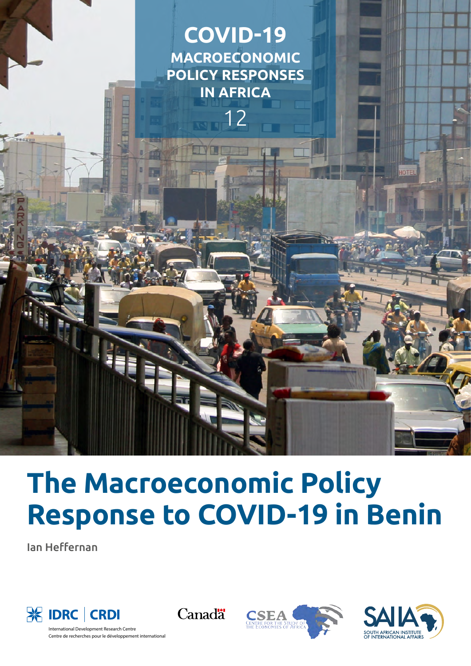

# **The Macroeconomic Policy Response to COVID-19 in Benin**

Ian Heffernan









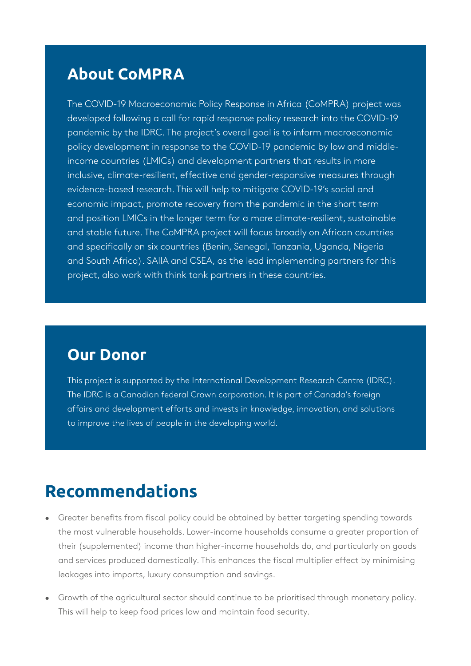### **About CoMPRA**

The COVID-19 Macroeconomic Policy Response in Africa (CoMPRA) project was developed following a call for rapid response policy research into the COVID-19 pandemic by the IDRC. The project's overall goal is to inform macroeconomic policy development in response to the COVID-19 pandemic by low and middleincome countries (LMICs) and development partners that results in more inclusive, climate-resilient, effective and gender-responsive measures through evidence-based research. This will help to mitigate COVID-19's social and economic impact, promote recovery from the pandemic in the short term and position LMICs in the longer term for a more climate-resilient, sustainable and stable future. The CoMPRA project will focus broadly on African countries and specifically on six countries (Benin, Senegal, Tanzania, Uganda, Nigeria and South Africa). SAIIA and CSEA, as the lead implementing partners for this project, also work with think tank partners in these countries.

### **Our Donor**

This project is supported by the International Development Research Centre (IDRC). The IDRC is a Canadian federal Crown corporation. It is part of Canada's foreign affairs and development efforts and invests in knowledge, innovation, and solutions to improve the lives of people in the developing world.

# **Recommendations**

- Greater benefits from fiscal policy could be obtained by better targeting spending towards the most vulnerable households. Lower-income households consume a greater proportion of their (supplemented) income than higher-income households do, and particularly on goods and services produced domestically. This enhances the fiscal multiplier effect by minimising leakages into imports, luxury consumption and savings.
- Growth of the agricultural sector should continue to be prioritised through monetary policy. This will help to keep food prices low and maintain food security.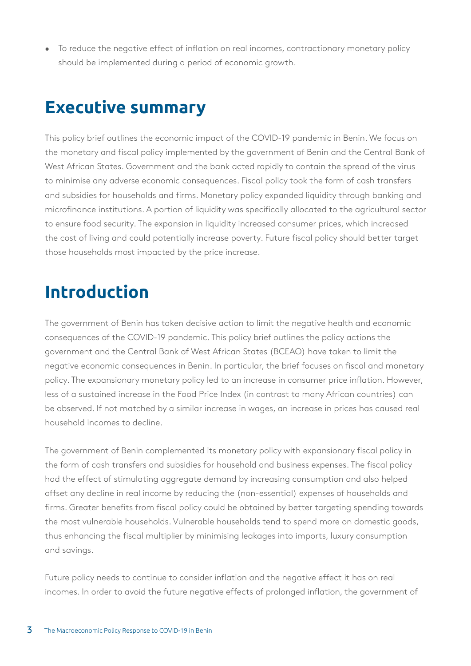• To reduce the negative effect of inflation on real incomes, contractionary monetary policy should be implemented during a period of economic growth.

# **Executive summary**

This policy brief outlines the economic impact of the COVID-19 pandemic in Benin. We focus on the monetary and fiscal policy implemented by the government of Benin and the Central Bank of West African States. Government and the bank acted rapidly to contain the spread of the virus to minimise any adverse economic consequences. Fiscal policy took the form of cash transfers and subsidies for households and firms. Monetary policy expanded liquidity through banking and microfinance institutions. A portion of liquidity was specifically allocated to the agricultural sector to ensure food security. The expansion in liquidity increased consumer prices, which increased the cost of living and could potentially increase poverty. Future fiscal policy should better target those households most impacted by the price increase.

# **Introduction**

The government of Benin has taken decisive action to limit the negative health and economic consequences of the COVID-19 pandemic. This policy brief outlines the policy actions the government and the Central Bank of West African States (BCEAO) have taken to limit the negative economic consequences in Benin. In particular, the brief focuses on fiscal and monetary policy. The expansionary monetary policy led to an increase in consumer price inflation. However, less of a sustained increase in the Food Price Index (in contrast to many African countries) can be observed. If not matched by a similar increase in wages, an increase in prices has caused real household incomes to decline.

The government of Benin complemented its monetary policy with expansionary fiscal policy in the form of cash transfers and subsidies for household and business expenses. The fiscal policy had the effect of stimulating aggregate demand by increasing consumption and also helped offset any decline in real income by reducing the (non-essential) expenses of households and firms. Greater benefits from fiscal policy could be obtained by better targeting spending towards the most vulnerable households. Vulnerable households tend to spend more on domestic goods, thus enhancing the fiscal multiplier by minimising leakages into imports, luxury consumption and savings.

Future policy needs to continue to consider inflation and the negative effect it has on real incomes. In order to avoid the future negative effects of prolonged inflation, the government of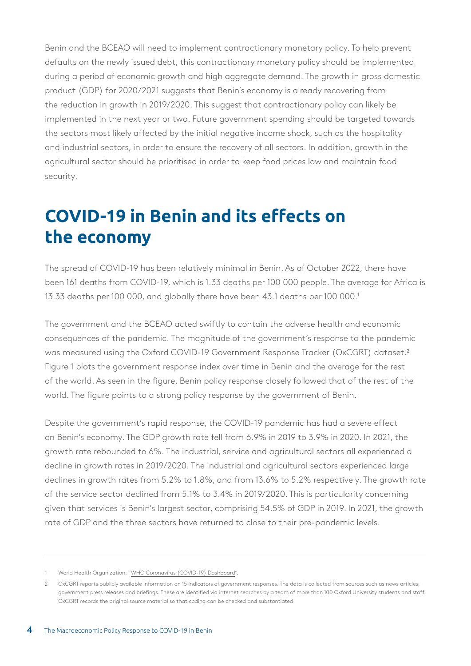Benin and the BCEAO will need to implement contractionary monetary policy. To help prevent defaults on the newly issued debt, this contractionary monetary policy should be implemented during a period of economic growth and high aggregate demand. The growth in gross domestic product (GDP) for 2020/2021 suggests that Benin's economy is already recovering from the reduction in growth in 2019/2020. This suggest that contractionary policy can likely be implemented in the next year or two. Future government spending should be targeted towards the sectors most likely affected by the initial negative income shock, such as the hospitality and industrial sectors, in order to ensure the recovery of all sectors. In addition, growth in the agricultural sector should be prioritised in order to keep food prices low and maintain food security.

# **COVID-19 in Benin and its effects on the economy**

The spread of COVID-19 has been relatively minimal in Benin. As of October 2022, there have been 161 deaths from COVID-19, which is 1.33 deaths per 100 000 people. The average for Africa is 13.33 deaths per 100 000, and globally there have been 43.1 deaths per 100 000.<sup>1</sup>

The government and the BCEAO acted swiftly to contain the adverse health and economic consequences of the pandemic. The magnitude of the government's response to the pandemic was measured using the Oxford COVID-19 Government Response Tracker (OxCGRT) dataset.<sup>2</sup> Figure 1 plots the government response index over time in Benin and the average for the rest of the world. As seen in the figure, Benin policy response closely followed that of the rest of the world. The figure points to a strong policy response by the government of Benin.

Despite the government's rapid response, the COVID-19 pandemic has had a severe effect on Benin's economy. The GDP growth rate fell from 6.9% in 2019 to 3.9% in 2020. In 2021, the growth rate rebounded to 6%. The industrial, service and agricultural sectors all experienced a decline in growth rates in 2019/2020. The industrial and agricultural sectors experienced large declines in growth rates from 5.2% to 1.8%, and from 13.6% to 5.2% respectively. The growth rate of the service sector declined from 5.1% to 3.4% in 2019/2020. This is particularity concerning given that services is Benin's largest sector, comprising 54.5% of GDP in 2019. In 2021, the growth rate of GDP and the three sectors have returned to close to their pre-pandemic levels.

<sup>1</sup> World Health Organization, "[WHO Coronavirus \(COVID-19\) Dashboard](https://covid19.who.int/)".

<sup>2</sup> OxCGRT reports publicly available information on 15 indicators of government responses. The data is collected from sources such as news articles, government press releases and briefings. These are identified via internet searches by a team of more than 100 Oxford University students and staff. OxCGRT records the original source material so that coding can be checked and substantiated.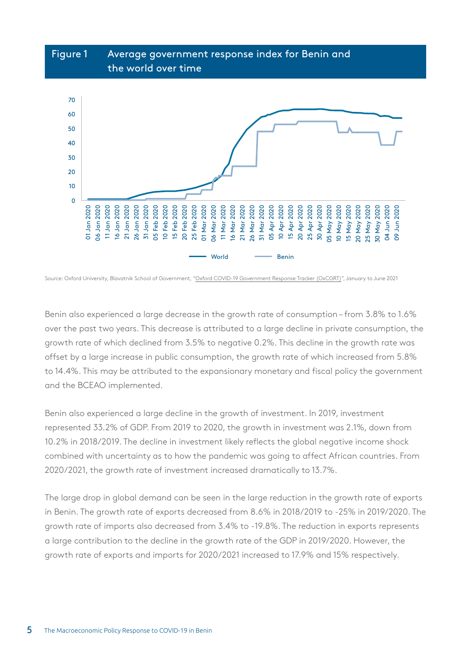

Source: Oxford University, Blavatnik School of Government, ["Oxford COVID-19 Government Response Tracker \(OxCGRT\)"](https://covidtracker.bsg.ox.ac.uk/), January to June 2021

Benin also experienced a large decrease in the growth rate of consumption – from 3.8% to 1.6% over the past two years. This decrease is attributed to a large decline in private consumption, the growth rate of which declined from 3.5% to negative 0.2%. This decline in the growth rate was offset by a large increase in public consumption, the growth rate of which increased from 5.8% to 14.4%. This may be attributed to the expansionary monetary and fiscal policy the government and the BCEAO implemented.

Benin also experienced a large decline in the growth of investment. In 2019, investment represented 33.2% of GDP. From 2019 to 2020, the growth in investment was 2.1%, down from 10.2% in 2018/2019. The decline in investment likely reflects the global negative income shock combined with uncertainty as to how the pandemic was going to affect African countries. From 2020/2021, the growth rate of investment increased dramatically to 13.7%.

The large drop in global demand can be seen in the large reduction in the growth rate of exports in Benin. The growth rate of exports decreased from 8.6% in 2018/2019 to -25% in 2019/2020. The growth rate of imports also decreased from 3.4% to -19.8%. The reduction in exports represents a large contribution to the decline in the growth rate of the GDP in 2019/2020. However, the growth rate of exports and imports for 2020/2021 increased to 17.9% and 15% respectively.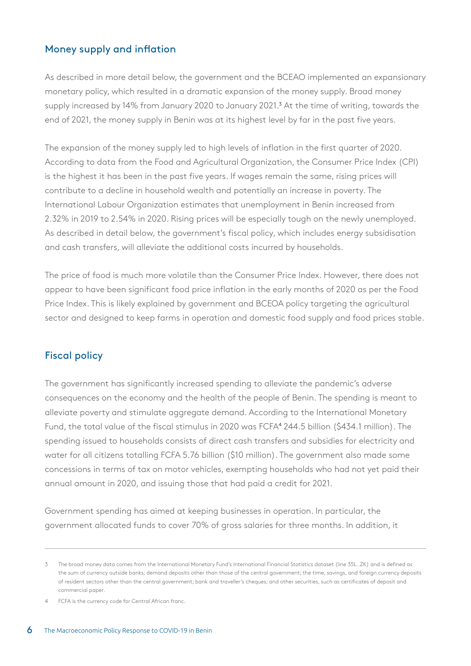#### Money supply and inflation

As described in more detail below, the government and the BCEAO implemented an expansionary monetary policy, which resulted in a dramatic expansion of the money supply. Broad money supply increased by 14% from January 2020 to January 2021.<sup>3</sup> At the time of writing, towards the end of 2021, the money supply in Benin was at its highest level by far in the past five years.

The expansion of the money supply led to high levels of inflation in the first quarter of 2020. According to data from the Food and Agricultural Organization, the Consumer Price Index (CPI) is the highest it has been in the past five years. If wages remain the same, rising prices will contribute to a decline in household wealth and potentially an increase in poverty. The International Labour Organization estimates that unemployment in Benin increased from 2.32% in 2019 to 2.54% in 2020. Rising prices will be especially tough on the newly unemployed. As described in detail below, the government's fiscal policy, which includes energy subsidisation and cash transfers, will alleviate the additional costs incurred by households.

The price of food is much more volatile than the Consumer Price Index. However, there does not appear to have been significant food price inflation in the early months of 2020 as per the Food Price Index. This is likely explained by government and BCEOA policy targeting the agricultural sector and designed to keep farms in operation and domestic food supply and food prices stable.

#### Fiscal policy

The government has significantly increased spending to alleviate the pandemic's adverse consequences on the economy and the health of the people of Benin. The spending is meant to alleviate poverty and stimulate aggregate demand. According to the International Monetary Fund, the total value of the fiscal stimulus in 2020 was FCFA<sup>4</sup> 244.5 billion (\$434.1 million). The spending issued to households consists of direct cash transfers and subsidies for electricity and water for all citizens totalling FCFA 5.76 billion (\$10 million). The government also made some concessions in terms of tax on motor vehicles, exempting households who had not yet paid their annual amount in 2020, and issuing those that had paid a credit for 2021.

Government spending has aimed at keeping businesses in operation. In particular, the government allocated funds to cover 70% of gross salaries for three months. In addition, it

<sup>3</sup> The broad money data comes from the International Monetary Fund's International Financial Statistics dataset (line 35L..ZK) and is defined as the sum of currency outside banks; demand deposits other than those of the central government; the time, savings, and foreign currency deposits of resident sectors other than the central government; bank and traveller's cheques; and other securities, such as certificates of deposit and commercial paper.

<sup>4</sup> FCFA is the currency code for Central African franc.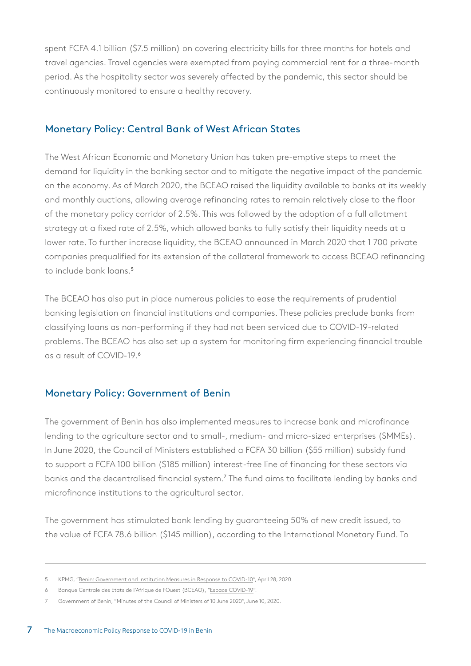spent FCFA 4.1 billion (\$7.5 million) on covering electricity bills for three months for hotels and travel agencies. Travel agencies were exempted from paying commercial rent for a three-month period. As the hospitality sector was severely affected by the pandemic, this sector should be continuously monitored to ensure a healthy recovery.

#### Monetary Policy: Central Bank of West African States

The West African Economic and Monetary Union has taken pre-emptive steps to meet the demand for liquidity in the banking sector and to mitigate the negative impact of the pandemic on the economy. As of March 2020, the BCEAO raised the liquidity available to banks at its weekly and monthly auctions, allowing average refinancing rates to remain relatively close to the floor of the monetary policy corridor of 2.5%. This was followed by the adoption of a full allotment strategy at a fixed rate of 2.5%, which allowed banks to fully satisfy their liquidity needs at a lower rate. To further increase liquidity, the BCEAO announced in March 2020 that 1 700 private companies prequalified for its extension of the collateral framework to access BCEAO refinancing to include bank loans.<sup>5</sup>

The BCEAO has also put in place numerous policies to ease the requirements of prudential banking legislation on financial institutions and companies. These policies preclude banks from classifying loans as non-performing if they had not been serviced due to COVID-19-related problems. The BCEAO has also set up a system for monitoring firm experiencing financial trouble as a result of COVID-19.<sup>6</sup>

#### Monetary Policy: Government of Benin

The government of Benin has also implemented measures to increase bank and microfinance lending to the agriculture sector and to small-, medium- and micro-sized enterprises (SMMEs). In June 2020, the Council of Ministers established a FCFA 30 billion (\$55 million) subsidy fund to support a FCFA 100 billion (\$185 million) interest-free line of financing for these sectors via banks and the decentralised financial system.<sup>7</sup> The fund aims to facilitate lending by banks and microfinance institutions to the agricultural sector.

The government has stimulated bank lending by guaranteeing 50% of new credit issued, to the value of FCFA 78.6 billion (\$145 million), according to the International Monetary Fund. To

<sup>5</sup> KPMG, "[Benin: Government and Institution Measures in Response to COVID-10"](https://home.kpmg/xx/en/home/insights/2020/04/benin-government-and-institution-measures-in-response-to-covid.html), April 28, 2020.

<sup>6</sup> Banque Centrale des Etats de l'Afrique de l'Ouest (BCEAO), "[Espace COVID-19](https://www.bceao.int/fr/Covid-19)".

<sup>7</sup> Government of Benin, "[Minutes of the Council of Ministers of 10 June 2020"](https://sgg.gouv.bj/cm/2020-06-10), June 10, 2020.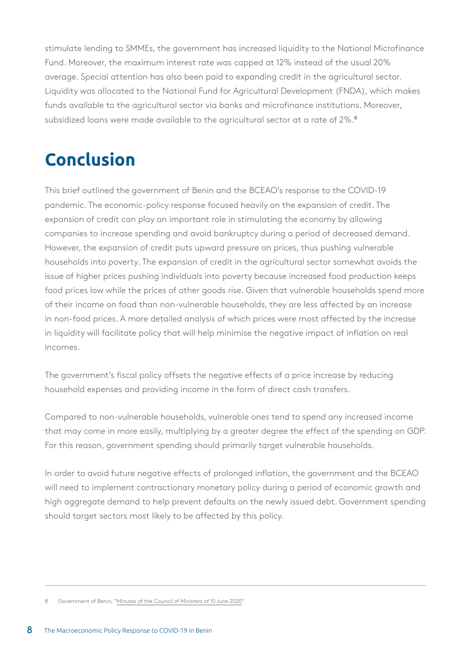stimulate lending to SMMEs, the government has increased liquidity to the National Microfinance Fund. Moreover, the maximum interest rate was capped at 12% instead of the usual 20% average. Special attention has also been paid to expanding credit in the agricultural sector. Liquidity was allocated to the National Fund for Agricultural Development (FNDA), which makes funds available to the agricultural sector via banks and microfinance institutions. Moreover, subsidized loans were made available to the agricultural sector at a rate of 2%.<sup>8</sup>

# **Conclusion**

This brief outlined the government of Benin and the BCEAO's response to the COVID-19 pandemic. The economic-policy response focused heavily on the expansion of credit. The expansion of credit can play an important role in stimulating the economy by allowing companies to increase spending and avoid bankruptcy during a period of decreased demand. However, the expansion of credit puts upward pressure on prices, thus pushing vulnerable households into poverty. The expansion of credit in the agricultural sector somewhat avoids the issue of higher prices pushing individuals into poverty because increased food production keeps food prices low while the prices of other goods rise. Given that vulnerable households spend more of their income on food than non-vulnerable households, they are less affected by an increase in non-food prices. A more detailed analysis of which prices were most affected by the increase in liquidity will facilitate policy that will help minimise the negative impact of inflation on real incomes.

The government's fiscal policy offsets the negative effects of a price increase by reducing household expenses and providing income in the form of direct cash transfers.

Compared to non-vulnerable households, vulnerable ones tend to spend any increased income that may come in more easily, multiplying by a greater degree the effect of the spending on GDP. For this reason, government spending should primarily target vulnerable households.

In order to avoid future negative effects of prolonged inflation, the government and the BCEAO will need to implement contractionary monetary policy during a period of economic growth and high aggregate demand to help prevent defaults on the newly issued debt. Government spending should target sectors most likely to be affected by this policy.

<sup>8</sup> Government of Benin, "[Minutes of the Council of Ministers of 10 June 2020"](https://sgg.gouv.bj/cm/2020-06-10).